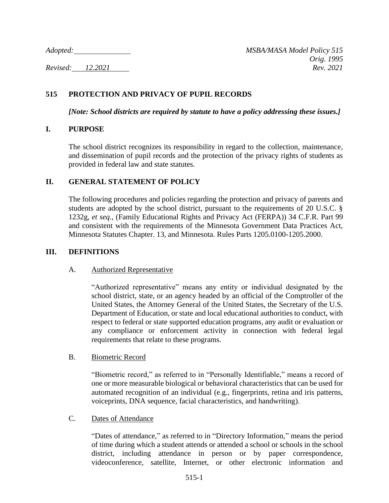# **515 PROTECTION AND PRIVACY OF PUPIL RECORDS**

*[Note: School districts are required by statute to have a policy addressing these issues.]*

## **I. PURPOSE**

The school district recognizes its responsibility in regard to the collection, maintenance, and dissemination of pupil records and the protection of the privacy rights of students as provided in federal law and state statutes.

## **II. GENERAL STATEMENT OF POLICY**

The following procedures and policies regarding the protection and privacy of parents and students are adopted by the school district, pursuant to the requirements of 20 U.S.C. § 1232g, *et seq.*, (Family Educational Rights and Privacy Act (FERPA)) 34 C.F.R. Part 99 and consistent with the requirements of the Minnesota Government Data Practices Act, Minnesota Statutes Chapter. 13, and Minnesota. Rules Parts 1205.0100-1205.2000.

### **III. DEFINITIONS**

### A. Authorized Representative

"Authorized representative" means any entity or individual designated by the school district, state, or an agency headed by an official of the Comptroller of the United States, the Attorney General of the United States, the Secretary of the U.S. Department of Education, or state and local educational authorities to conduct, with respect to federal or state supported education programs, any audit or evaluation or any compliance or enforcement activity in connection with federal legal requirements that relate to these programs.

### B. Biometric Record

"Biometric record," as referred to in "Personally Identifiable," means a record of one or more measurable biological or behavioral characteristics that can be used for automated recognition of an individual (e.g., fingerprints, retina and iris patterns, voiceprints, DNA sequence, facial characteristics, and handwriting).

### C. Dates of Attendance

"Dates of attendance," as referred to in "Directory Information," means the period of time during which a student attends or attended a school or schools in the school district, including attendance in person or by paper correspondence, videoconference, satellite, Internet, or other electronic information and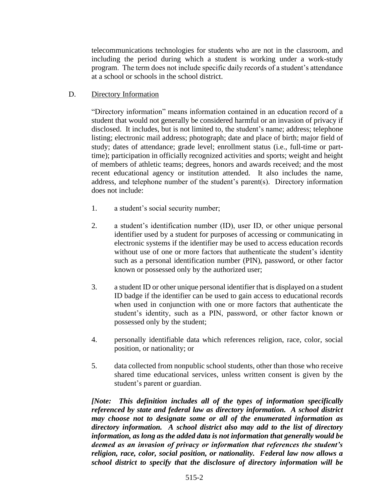telecommunications technologies for students who are not in the classroom, and including the period during which a student is working under a work-study program. The term does not include specific daily records of a student's attendance at a school or schools in the school district.

## D. Directory Information

"Directory information" means information contained in an education record of a student that would not generally be considered harmful or an invasion of privacy if disclosed. It includes, but is not limited to, the student's name; address; telephone listing; electronic mail address; photograph; date and place of birth; major field of study; dates of attendance; grade level; enrollment status (i.e., full-time or parttime); participation in officially recognized activities and sports; weight and height of members of athletic teams; degrees, honors and awards received; and the most recent educational agency or institution attended. It also includes the name, address, and telephone number of the student's parent(s). Directory information does not include:

- 1. a student's social security number;
- 2. a student's identification number (ID), user ID, or other unique personal identifier used by a student for purposes of accessing or communicating in electronic systems if the identifier may be used to access education records without use of one or more factors that authenticate the student's identity such as a personal identification number (PIN), password, or other factor known or possessed only by the authorized user;
- 3. a student ID or other unique personal identifier that is displayed on a student ID badge if the identifier can be used to gain access to educational records when used in conjunction with one or more factors that authenticate the student's identity, such as a PIN, password, or other factor known or possessed only by the student;
- 4. personally identifiable data which references religion, race, color, social position, or nationality; or
- 5. data collected from nonpublic school students, other than those who receive shared time educational services, unless written consent is given by the student's parent or guardian.

*[Note: This definition includes all of the types of information specifically referenced by state and federal law as directory information. A school district may choose not to designate some or all of the enumerated information as directory information. A school district also may add to the list of directory information, as long as the added data is not information that generally would be deemed as an invasion of privacy or information that references the student's religion, race, color, social position, or nationality. Federal law now allows a school district to specify that the disclosure of directory information will be*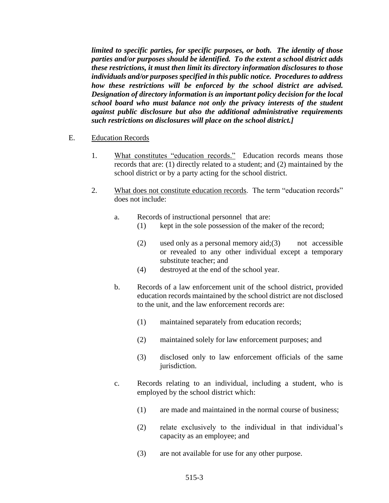*limited to specific parties, for specific purposes, or both. The identity of those parties and/or purposes should be identified. To the extent a school district adds these restrictions, it must then limit its directory information disclosures to those individuals and/or purposes specified in this public notice. Procedures to address how these restrictions will be enforced by the school district are advised. Designation of directory information is an important policy decision for the local school board who must balance not only the privacy interests of the student against public disclosure but also the additional administrative requirements such restrictions on disclosures will place on the school district.]*

#### E. Education Records

- 1. What constitutes "education records." Education records means those records that are: (1) directly related to a student; and (2) maintained by the school district or by a party acting for the school district.
- 2. What does not constitute education records. The term "education records" does not include:
	- a. Records of instructional personnel that are:
		- (1) kept in the sole possession of the maker of the record;
		- (2) used only as a personal memory aid;(3) not accessible or revealed to any other individual except a temporary substitute teacher; and
		- (4) destroyed at the end of the school year.
	- b. Records of a law enforcement unit of the school district, provided education records maintained by the school district are not disclosed to the unit, and the law enforcement records are:
		- (1) maintained separately from education records;
		- (2) maintained solely for law enforcement purposes; and
		- (3) disclosed only to law enforcement officials of the same jurisdiction.
	- c. Records relating to an individual, including a student, who is employed by the school district which:
		- (1) are made and maintained in the normal course of business;
		- (2) relate exclusively to the individual in that individual's capacity as an employee; and
		- (3) are not available for use for any other purpose.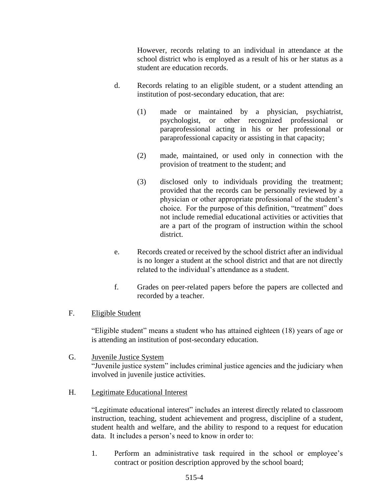However, records relating to an individual in attendance at the school district who is employed as a result of his or her status as a student are education records.

- d. Records relating to an eligible student, or a student attending an institution of post-secondary education, that are:
	- (1) made or maintained by a physician, psychiatrist, psychologist, or other recognized professional or paraprofessional acting in his or her professional or paraprofessional capacity or assisting in that capacity;
	- (2) made, maintained, or used only in connection with the provision of treatment to the student; and
	- (3) disclosed only to individuals providing the treatment; provided that the records can be personally reviewed by a physician or other appropriate professional of the student's choice. For the purpose of this definition, "treatment" does not include remedial educational activities or activities that are a part of the program of instruction within the school district.
- e. Records created or received by the school district after an individual is no longer a student at the school district and that are not directly related to the individual's attendance as a student.
- f. Grades on peer-related papers before the papers are collected and recorded by a teacher.

# F. Eligible Student

"Eligible student" means a student who has attained eighteen (18) years of age or is attending an institution of post-secondary education.

G. Juvenile Justice System "Juvenile justice system" includes criminal justice agencies and the judiciary when involved in juvenile justice activities.

### H. Legitimate Educational Interest

"Legitimate educational interest" includes an interest directly related to classroom instruction, teaching, student achievement and progress, discipline of a student, student health and welfare, and the ability to respond to a request for education data. It includes a person's need to know in order to:

1. Perform an administrative task required in the school or employee's contract or position description approved by the school board;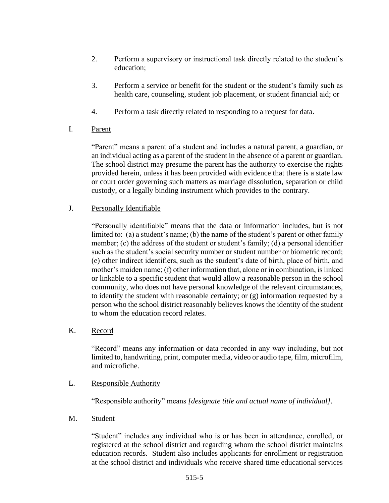- 2. Perform a supervisory or instructional task directly related to the student's education;
- 3. Perform a service or benefit for the student or the student's family such as health care, counseling, student job placement, or student financial aid; or
- 4. Perform a task directly related to responding to a request for data.
- I. Parent

"Parent" means a parent of a student and includes a natural parent, a guardian, or an individual acting as a parent of the student in the absence of a parent or guardian. The school district may presume the parent has the authority to exercise the rights provided herein, unless it has been provided with evidence that there is a state law or court order governing such matters as marriage dissolution, separation or child custody, or a legally binding instrument which provides to the contrary.

# J. Personally Identifiable

"Personally identifiable" means that the data or information includes, but is not limited to: (a) a student's name; (b) the name of the student's parent or other family member; (c) the address of the student or student's family; (d) a personal identifier such as the student's social security number or student number or biometric record; (e) other indirect identifiers, such as the student's date of birth, place of birth, and mother's maiden name; (f) other information that, alone or in combination, is linked or linkable to a specific student that would allow a reasonable person in the school community, who does not have personal knowledge of the relevant circumstances, to identify the student with reasonable certainty; or (g) information requested by a person who the school district reasonably believes knows the identity of the student to whom the education record relates.

# K. Record

"Record" means any information or data recorded in any way including, but not limited to, handwriting, print, computer media, video or audio tape, film, microfilm, and microfiche.

# L. Responsible Authority

"Responsible authority" means *[designate title and actual name of individual]*.

# M. Student

"Student" includes any individual who is or has been in attendance, enrolled, or registered at the school district and regarding whom the school district maintains education records. Student also includes applicants for enrollment or registration at the school district and individuals who receive shared time educational services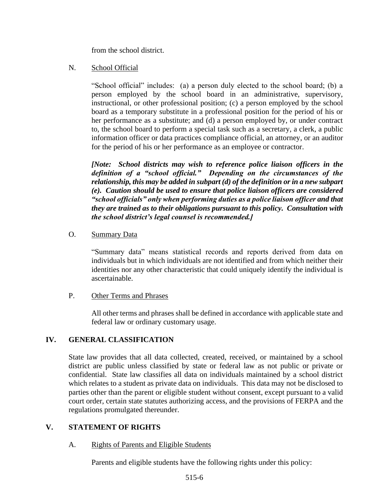from the school district.

## N. School Official

"School official" includes: (a) a person duly elected to the school board; (b) a person employed by the school board in an administrative, supervisory, instructional, or other professional position; (c) a person employed by the school board as a temporary substitute in a professional position for the period of his or her performance as a substitute; and (d) a person employed by, or under contract to, the school board to perform a special task such as a secretary, a clerk, a public information officer or data practices compliance official, an attorney, or an auditor for the period of his or her performance as an employee or contractor.

*[Note: School districts may wish to reference police liaison officers in the definition of a "school official." Depending on the circumstances of the relationship, this may be added in subpart (d) of the definition or in a new subpart (e). Caution should be used to ensure that police liaison officers are considered "school officials" only when performing duties as a police liaison officer and that they are trained as to their obligations pursuant to this policy. Consultation with the school district's legal counsel is recommended.]*

## O. Summary Data

"Summary data" means statistical records and reports derived from data on individuals but in which individuals are not identified and from which neither their identities nor any other characteristic that could uniquely identify the individual is ascertainable.

### P. Other Terms and Phrases

All other terms and phrases shall be defined in accordance with applicable state and federal law or ordinary customary usage.

# **IV. GENERAL CLASSIFICATION**

State law provides that all data collected, created, received, or maintained by a school district are public unless classified by state or federal law as not public or private or confidential. State law classifies all data on individuals maintained by a school district which relates to a student as private data on individuals. This data may not be disclosed to parties other than the parent or eligible student without consent, except pursuant to a valid court order, certain state statutes authorizing access, and the provisions of FERPA and the regulations promulgated thereunder.

### **V. STATEMENT OF RIGHTS**

### A. Rights of Parents and Eligible Students

Parents and eligible students have the following rights under this policy: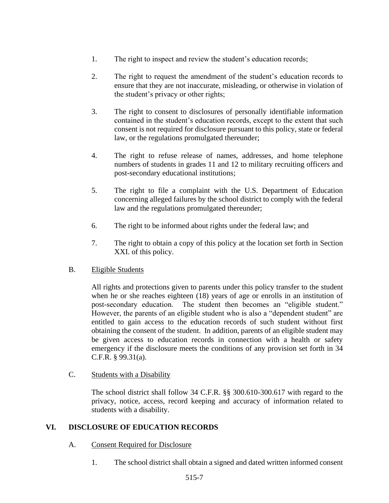- 1. The right to inspect and review the student's education records;
- 2. The right to request the amendment of the student's education records to ensure that they are not inaccurate, misleading, or otherwise in violation of the student's privacy or other rights;
- 3. The right to consent to disclosures of personally identifiable information contained in the student's education records, except to the extent that such consent is not required for disclosure pursuant to this policy, state or federal law, or the regulations promulgated thereunder;
- 4. The right to refuse release of names, addresses, and home telephone numbers of students in grades 11 and 12 to military recruiting officers and post-secondary educational institutions;
- 5. The right to file a complaint with the U.S. Department of Education concerning alleged failures by the school district to comply with the federal law and the regulations promulgated thereunder;
- 6. The right to be informed about rights under the federal law; and
- 7. The right to obtain a copy of this policy at the location set forth in Section XXI. of this policy.

# B. Eligible Students

All rights and protections given to parents under this policy transfer to the student when he or she reaches eighteen (18) years of age or enrolls in an institution of post-secondary education. The student then becomes an "eligible student." However, the parents of an eligible student who is also a "dependent student" are entitled to gain access to the education records of such student without first obtaining the consent of the student. In addition, parents of an eligible student may be given access to education records in connection with a health or safety emergency if the disclosure meets the conditions of any provision set forth in 34 C.F.R. § 99.31(a).

# C. Students with a Disability

The school district shall follow 34 C.F.R. §§ 300.610-300.617 with regard to the privacy, notice, access, record keeping and accuracy of information related to students with a disability.

# **VI. DISCLOSURE OF EDUCATION RECORDS**

- A. Consent Required for Disclosure
	- 1. The school district shall obtain a signed and dated written informed consent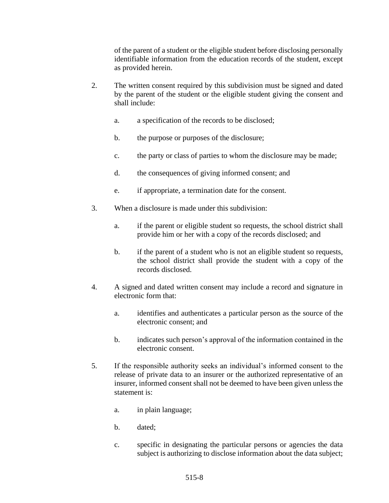of the parent of a student or the eligible student before disclosing personally identifiable information from the education records of the student, except as provided herein.

- 2. The written consent required by this subdivision must be signed and dated by the parent of the student or the eligible student giving the consent and shall include:
	- a. a specification of the records to be disclosed;
	- b. the purpose or purposes of the disclosure;
	- c. the party or class of parties to whom the disclosure may be made;
	- d. the consequences of giving informed consent; and
	- e. if appropriate, a termination date for the consent.
- 3. When a disclosure is made under this subdivision:
	- a. if the parent or eligible student so requests, the school district shall provide him or her with a copy of the records disclosed; and
	- b. if the parent of a student who is not an eligible student so requests, the school district shall provide the student with a copy of the records disclosed.
- 4. A signed and dated written consent may include a record and signature in electronic form that:
	- a. identifies and authenticates a particular person as the source of the electronic consent; and
	- b. indicates such person's approval of the information contained in the electronic consent.
- 5. If the responsible authority seeks an individual's informed consent to the release of private data to an insurer or the authorized representative of an insurer, informed consent shall not be deemed to have been given unless the statement is:
	- a. in plain language;
	- b. dated;
	- c. specific in designating the particular persons or agencies the data subject is authorizing to disclose information about the data subject;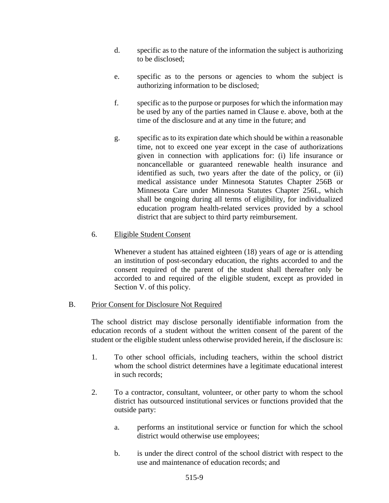- d. specific as to the nature of the information the subject is authorizing to be disclosed;
- e. specific as to the persons or agencies to whom the subject is authorizing information to be disclosed;
- f. specific as to the purpose or purposes for which the information may be used by any of the parties named in Clause e. above, both at the time of the disclosure and at any time in the future; and
- g. specific as to its expiration date which should be within a reasonable time, not to exceed one year except in the case of authorizations given in connection with applications for: (i) life insurance or noncancellable or guaranteed renewable health insurance and identified as such, two years after the date of the policy, or (ii) medical assistance under Minnesota Statutes Chapter 256B or Minnesota Care under Minnesota Statutes Chapter 256L, which shall be ongoing during all terms of eligibility, for individualized education program health-related services provided by a school district that are subject to third party reimbursement.

## 6. Eligible Student Consent

Whenever a student has attained eighteen (18) years of age or is attending an institution of post-secondary education, the rights accorded to and the consent required of the parent of the student shall thereafter only be accorded to and required of the eligible student, except as provided in Section V. of this policy.

### B. Prior Consent for Disclosure Not Required

The school district may disclose personally identifiable information from the education records of a student without the written consent of the parent of the student or the eligible student unless otherwise provided herein, if the disclosure is:

- 1. To other school officials, including teachers, within the school district whom the school district determines have a legitimate educational interest in such records;
- 2. To a contractor, consultant, volunteer, or other party to whom the school district has outsourced institutional services or functions provided that the outside party:
	- a. performs an institutional service or function for which the school district would otherwise use employees;
	- b. is under the direct control of the school district with respect to the use and maintenance of education records; and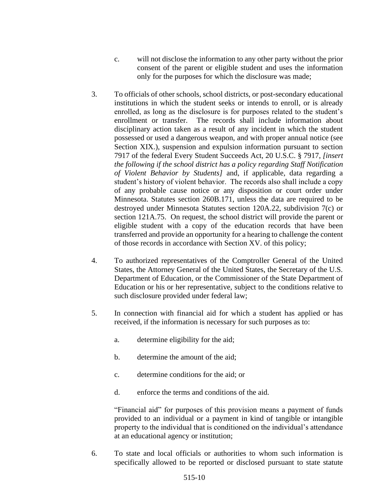- c. will not disclose the information to any other party without the prior consent of the parent or eligible student and uses the information only for the purposes for which the disclosure was made;
- 3. To officials of other schools, school districts, or post-secondary educational institutions in which the student seeks or intends to enroll, or is already enrolled, as long as the disclosure is for purposes related to the student's enrollment or transfer. The records shall include information about disciplinary action taken as a result of any incident in which the student possessed or used a dangerous weapon, and with proper annual notice (see Section XIX.), suspension and expulsion information pursuant to section 7917 of the federal Every Student Succeeds Act, 20 U.S.C. § 7917, *[insert the following if the school district has a policy regarding Staff Notification of Violent Behavior by Students]* and, if applicable, data regarding a student's history of violent behavior. The records also shall include a copy of any probable cause notice or any disposition or court order under Minnesota. Statutes section 260B.171, unless the data are required to be destroyed under Minnesota Statutes section 120A.22, subdivision 7(c) or section 121A.75. On request, the school district will provide the parent or eligible student with a copy of the education records that have been transferred and provide an opportunity for a hearing to challenge the content of those records in accordance with Section XV. of this policy;
- 4. To authorized representatives of the Comptroller General of the United States, the Attorney General of the United States, the Secretary of the U.S. Department of Education, or the Commissioner of the State Department of Education or his or her representative, subject to the conditions relative to such disclosure provided under federal law;
- 5. In connection with financial aid for which a student has applied or has received, if the information is necessary for such purposes as to:
	- a. determine eligibility for the aid;
	- b. determine the amount of the aid;
	- c. determine conditions for the aid; or
	- d. enforce the terms and conditions of the aid.

"Financial aid" for purposes of this provision means a payment of funds provided to an individual or a payment in kind of tangible or intangible property to the individual that is conditioned on the individual's attendance at an educational agency or institution;

6. To state and local officials or authorities to whom such information is specifically allowed to be reported or disclosed pursuant to state statute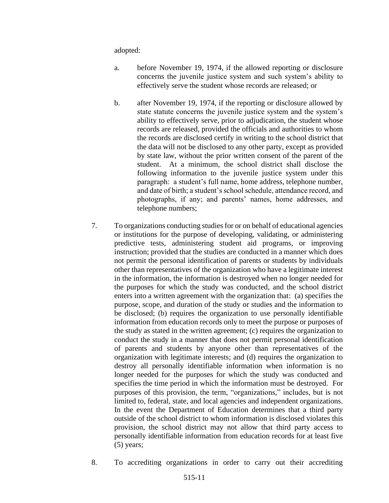adopted:

- a. before November 19, 1974, if the allowed reporting or disclosure concerns the juvenile justice system and such system's ability to effectively serve the student whose records are released; or
- b. after November 19, 1974, if the reporting or disclosure allowed by state statute concerns the juvenile justice system and the system's ability to effectively serve, prior to adjudication, the student whose records are released, provided the officials and authorities to whom the records are disclosed certify in writing to the school district that the data will not be disclosed to any other party, except as provided by state law, without the prior written consent of the parent of the student. At a minimum, the school district shall disclose the following information to the juvenile justice system under this paragraph: a student's full name, home address, telephone number, and date of birth; a student's school schedule, attendance record, and photographs, if any; and parents' names, home addresses, and telephone numbers;
- 7. To organizations conducting studies for or on behalf of educational agencies or institutions for the purpose of developing, validating, or administering predictive tests, administering student aid programs, or improving instruction; provided that the studies are conducted in a manner which does not permit the personal identification of parents or students by individuals other than representatives of the organization who have a legitimate interest in the information, the information is destroyed when no longer needed for the purposes for which the study was conducted, and the school district enters into a written agreement with the organization that: (a) specifies the purpose, scope, and duration of the study or studies and the information to be disclosed; (b) requires the organization to use personally identifiable information from education records only to meet the purpose or purposes of the study as stated in the written agreement; (c) requires the organization to conduct the study in a manner that does not permit personal identification of parents and students by anyone other than representatives of the organization with legitimate interests; and (d) requires the organization to destroy all personally identifiable information when information is no longer needed for the purposes for which the study was conducted and specifies the time period in which the information must be destroyed. For purposes of this provision, the term, "organizations," includes, but is not limited to, federal, state, and local agencies and independent organizations. In the event the Department of Education determines that a third party outside of the school district to whom information is disclosed violates this provision, the school district may not allow that third party access to personally identifiable information from education records for at least five (5) years;
- 8. To accrediting organizations in order to carry out their accrediting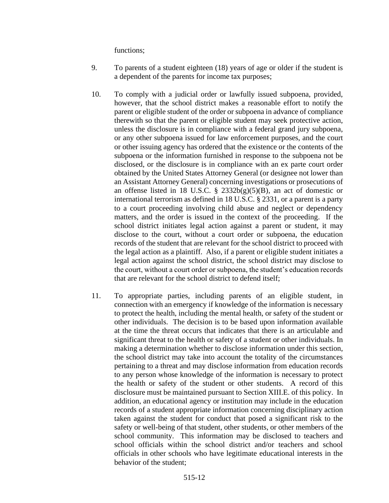functions;

- 9. To parents of a student eighteen (18) years of age or older if the student is a dependent of the parents for income tax purposes;
- 10. To comply with a judicial order or lawfully issued subpoena, provided, however, that the school district makes a reasonable effort to notify the parent or eligible student of the order or subpoena in advance of compliance therewith so that the parent or eligible student may seek protective action, unless the disclosure is in compliance with a federal grand jury subpoena, or any other subpoena issued for law enforcement purposes, and the court or other issuing agency has ordered that the existence or the contents of the subpoena or the information furnished in response to the subpoena not be disclosed, or the disclosure is in compliance with an ex parte court order obtained by the United States Attorney General (or designee not lower than an Assistant Attorney General) concerning investigations or prosecutions of an offense listed in 18 U.S.C. §  $2332b(g)(5)(B)$ , an act of domestic or international terrorism as defined in 18 U.S.C. § 2331, or a parent is a party to a court proceeding involving child abuse and neglect or dependency matters, and the order is issued in the context of the proceeding. If the school district initiates legal action against a parent or student, it may disclose to the court, without a court order or subpoena, the education records of the student that are relevant for the school district to proceed with the legal action as a plaintiff. Also, if a parent or eligible student initiates a legal action against the school district, the school district may disclose to the court, without a court order or subpoena, the student's education records that are relevant for the school district to defend itself;
- 11. To appropriate parties, including parents of an eligible student, in connection with an emergency if knowledge of the information is necessary to protect the health, including the mental health, or safety of the student or other individuals. The decision is to be based upon information available at the time the threat occurs that indicates that there is an articulable and significant threat to the health or safety of a student or other individuals. In making a determination whether to disclose information under this section, the school district may take into account the totality of the circumstances pertaining to a threat and may disclose information from education records to any person whose knowledge of the information is necessary to protect the health or safety of the student or other students. A record of this disclosure must be maintained pursuant to Section XIII.E. of this policy. In addition, an educational agency or institution may include in the education records of a student appropriate information concerning disciplinary action taken against the student for conduct that posed a significant risk to the safety or well-being of that student, other students, or other members of the school community. This information may be disclosed to teachers and school officials within the school district and/or teachers and school officials in other schools who have legitimate educational interests in the behavior of the student;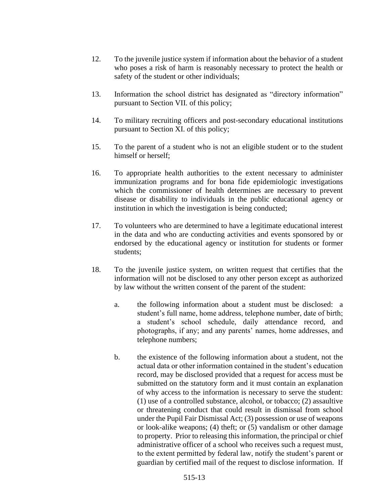- 12. To the juvenile justice system if information about the behavior of a student who poses a risk of harm is reasonably necessary to protect the health or safety of the student or other individuals;
- 13. Information the school district has designated as "directory information" pursuant to Section VII. of this policy;
- 14. To military recruiting officers and post-secondary educational institutions pursuant to Section XI. of this policy;
- 15. To the parent of a student who is not an eligible student or to the student himself or herself;
- 16. To appropriate health authorities to the extent necessary to administer immunization programs and for bona fide epidemiologic investigations which the commissioner of health determines are necessary to prevent disease or disability to individuals in the public educational agency or institution in which the investigation is being conducted;
- 17. To volunteers who are determined to have a legitimate educational interest in the data and who are conducting activities and events sponsored by or endorsed by the educational agency or institution for students or former students;
- 18. To the juvenile justice system, on written request that certifies that the information will not be disclosed to any other person except as authorized by law without the written consent of the parent of the student:
	- a. the following information about a student must be disclosed: a student's full name, home address, telephone number, date of birth; a student's school schedule, daily attendance record, and photographs, if any; and any parents' names, home addresses, and telephone numbers;
	- b. the existence of the following information about a student, not the actual data or other information contained in the student's education record, may be disclosed provided that a request for access must be submitted on the statutory form and it must contain an explanation of why access to the information is necessary to serve the student: (1) use of a controlled substance, alcohol, or tobacco; (2) assaultive or threatening conduct that could result in dismissal from school under the Pupil Fair Dismissal Act; (3) possession or use of weapons or look-alike weapons; (4) theft; or (5) vandalism or other damage to property. Prior to releasing this information, the principal or chief administrative officer of a school who receives such a request must, to the extent permitted by federal law, notify the student's parent or guardian by certified mail of the request to disclose information. If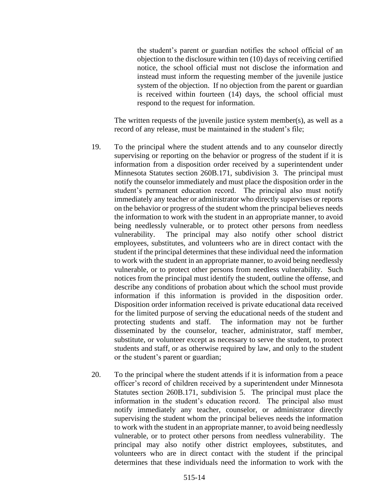the student's parent or guardian notifies the school official of an objection to the disclosure within ten (10) days of receiving certified notice, the school official must not disclose the information and instead must inform the requesting member of the juvenile justice system of the objection. If no objection from the parent or guardian is received within fourteen (14) days, the school official must respond to the request for information.

The written requests of the juvenile justice system member(s), as well as a record of any release, must be maintained in the student's file;

- 19. To the principal where the student attends and to any counselor directly supervising or reporting on the behavior or progress of the student if it is information from a disposition order received by a superintendent under Minnesota Statutes section 260B.171, subdivision 3. The principal must notify the counselor immediately and must place the disposition order in the student's permanent education record. The principal also must notify immediately any teacher or administrator who directly supervises or reports on the behavior or progress of the student whom the principal believes needs the information to work with the student in an appropriate manner, to avoid being needlessly vulnerable, or to protect other persons from needless vulnerability. The principal may also notify other school district employees, substitutes, and volunteers who are in direct contact with the student if the principal determines that these individual need the information to work with the student in an appropriate manner, to avoid being needlessly vulnerable, or to protect other persons from needless vulnerability. Such notices from the principal must identify the student, outline the offense, and describe any conditions of probation about which the school must provide information if this information is provided in the disposition order. Disposition order information received is private educational data received for the limited purpose of serving the educational needs of the student and protecting students and staff. The information may not be further disseminated by the counselor, teacher, administrator, staff member, substitute, or volunteer except as necessary to serve the student, to protect students and staff, or as otherwise required by law, and only to the student or the student's parent or guardian;
- 20. To the principal where the student attends if it is information from a peace officer's record of children received by a superintendent under Minnesota Statutes section 260B.171, subdivision 5. The principal must place the information in the student's education record. The principal also must notify immediately any teacher, counselor, or administrator directly supervising the student whom the principal believes needs the information to work with the student in an appropriate manner, to avoid being needlessly vulnerable, or to protect other persons from needless vulnerability. The principal may also notify other district employees, substitutes, and volunteers who are in direct contact with the student if the principal determines that these individuals need the information to work with the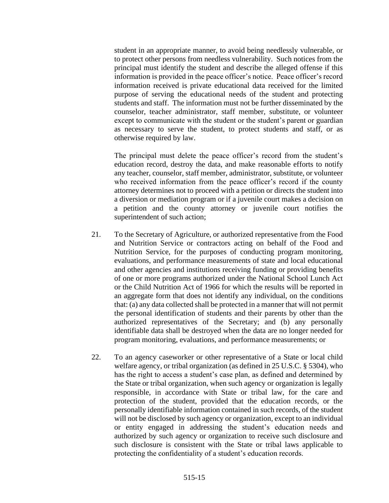student in an appropriate manner, to avoid being needlessly vulnerable, or to protect other persons from needless vulnerability. Such notices from the principal must identify the student and describe the alleged offense if this information is provided in the peace officer's notice. Peace officer's record information received is private educational data received for the limited purpose of serving the educational needs of the student and protecting students and staff. The information must not be further disseminated by the counselor, teacher administrator, staff member, substitute, or volunteer except to communicate with the student or the student's parent or guardian as necessary to serve the student, to protect students and staff, or as otherwise required by law.

The principal must delete the peace officer's record from the student's education record, destroy the data, and make reasonable efforts to notify any teacher, counselor, staff member, administrator, substitute, or volunteer who received information from the peace officer's record if the county attorney determines not to proceed with a petition or directs the student into a diversion or mediation program or if a juvenile court makes a decision on a petition and the county attorney or juvenile court notifies the superintendent of such action;

- 21. To the Secretary of Agriculture, or authorized representative from the Food and Nutrition Service or contractors acting on behalf of the Food and Nutrition Service, for the purposes of conducting program monitoring, evaluations, and performance measurements of state and local educational and other agencies and institutions receiving funding or providing benefits of one or more programs authorized under the National School Lunch Act or the Child Nutrition Act of 1966 for which the results will be reported in an aggregate form that does not identify any individual, on the conditions that: (a) any data collected shall be protected in a manner that will not permit the personal identification of students and their parents by other than the authorized representatives of the Secretary; and (b) any personally identifiable data shall be destroyed when the data are no longer needed for program monitoring, evaluations, and performance measurements; or
- 22. To an agency caseworker or other representative of a State or local child welfare agency, or tribal organization (as defined in 25 U.S.C. § 5304), who has the right to access a student's case plan, as defined and determined by the State or tribal organization, when such agency or organization is legally responsible, in accordance with State or tribal law, for the care and protection of the student, provided that the education records, or the personally identifiable information contained in such records, of the student will not be disclosed by such agency or organization, except to an individual or entity engaged in addressing the student's education needs and authorized by such agency or organization to receive such disclosure and such disclosure is consistent with the State or tribal laws applicable to protecting the confidentiality of a student's education records.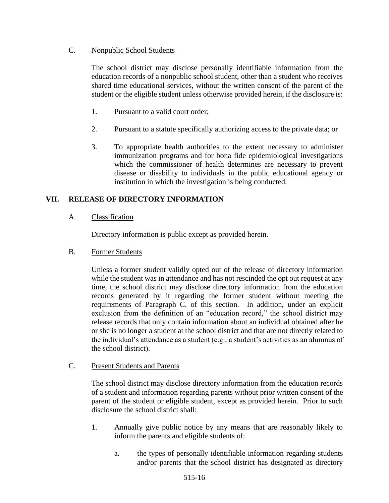# C. Nonpublic School Students

The school district may disclose personally identifiable information from the education records of a nonpublic school student, other than a student who receives shared time educational services, without the written consent of the parent of the student or the eligible student unless otherwise provided herein, if the disclosure is:

- 1. Pursuant to a valid court order;
- 2. Pursuant to a statute specifically authorizing access to the private data; or
- 3. To appropriate health authorities to the extent necessary to administer immunization programs and for bona fide epidemiological investigations which the commissioner of health determines are necessary to prevent disease or disability to individuals in the public educational agency or institution in which the investigation is being conducted.

# **VII. RELEASE OF DIRECTORY INFORMATION**

# A. Classification

Directory information is public except as provided herein.

# B. Former Students

Unless a former student validly opted out of the release of directory information while the student was in attendance and has not rescinded the opt out request at any time, the school district may disclose directory information from the education records generated by it regarding the former student without meeting the requirements of Paragraph C. of this section. In addition, under an explicit exclusion from the definition of an "education record," the school district may release records that only contain information about an individual obtained after he or she is no longer a student at the school district and that are not directly related to the individual's attendance as a student (e.g., a student's activities as an alumnus of the school district).

### C. Present Students and Parents

The school district may disclose directory information from the education records of a student and information regarding parents without prior written consent of the parent of the student or eligible student, except as provided herein. Prior to such disclosure the school district shall:

- 1. Annually give public notice by any means that are reasonably likely to inform the parents and eligible students of:
	- a. the types of personally identifiable information regarding students and/or parents that the school district has designated as directory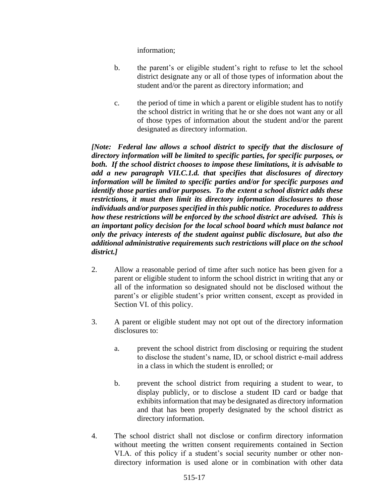information;

- b. the parent's or eligible student's right to refuse to let the school district designate any or all of those types of information about the student and/or the parent as directory information; and
- c. the period of time in which a parent or eligible student has to notify the school district in writing that he or she does not want any or all of those types of information about the student and/or the parent designated as directory information.

*[Note: Federal law allows a school district to specify that the disclosure of directory information will be limited to specific parties, for specific purposes, or both. If the school district chooses to impose these limitations, it is advisable to add a new paragraph VII.C.1.d. that specifies that disclosures of directory information will be limited to specific parties and/or for specific purposes and identify those parties and/or purposes. To the extent a school district adds these restrictions, it must then limit its directory information disclosures to those individuals and/or purposes specified in this public notice. Procedures to address how these restrictions will be enforced by the school district are advised. This is an important policy decision for the local school board which must balance not only the privacy interests of the student against public disclosure, but also the additional administrative requirements such restrictions will place on the school district.]*

- 2. Allow a reasonable period of time after such notice has been given for a parent or eligible student to inform the school district in writing that any or all of the information so designated should not be disclosed without the parent's or eligible student's prior written consent, except as provided in Section VI. of this policy.
- 3. A parent or eligible student may not opt out of the directory information disclosures to:
	- a. prevent the school district from disclosing or requiring the student to disclose the student's name, ID, or school district e-mail address in a class in which the student is enrolled; or
	- b. prevent the school district from requiring a student to wear, to display publicly, or to disclose a student ID card or badge that exhibits information that may be designated as directory information and that has been properly designated by the school district as directory information.
- 4. The school district shall not disclose or confirm directory information without meeting the written consent requirements contained in Section VI.A. of this policy if a student's social security number or other nondirectory information is used alone or in combination with other data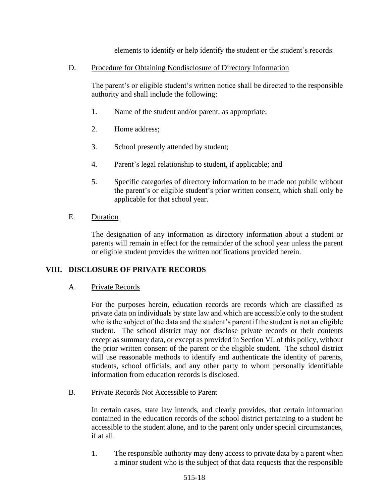elements to identify or help identify the student or the student's records.

D. Procedure for Obtaining Nondisclosure of Directory Information

The parent's or eligible student's written notice shall be directed to the responsible authority and shall include the following:

- 1. Name of the student and/or parent, as appropriate;
- 2. Home address;
- 3. School presently attended by student;
- 4. Parent's legal relationship to student, if applicable; and
- 5. Specific categories of directory information to be made not public without the parent's or eligible student's prior written consent, which shall only be applicable for that school year.
- E. Duration

The designation of any information as directory information about a student or parents will remain in effect for the remainder of the school year unless the parent or eligible student provides the written notifications provided herein.

# **VIII. DISCLOSURE OF PRIVATE RECORDS**

A. Private Records

For the purposes herein, education records are records which are classified as private data on individuals by state law and which are accessible only to the student who is the subject of the data and the student's parent if the student is not an eligible student. The school district may not disclose private records or their contents except as summary data, or except as provided in Section VI. of this policy, without the prior written consent of the parent or the eligible student. The school district will use reasonable methods to identify and authenticate the identity of parents, students, school officials, and any other party to whom personally identifiable information from education records is disclosed.

### B. Private Records Not Accessible to Parent

In certain cases, state law intends, and clearly provides, that certain information contained in the education records of the school district pertaining to a student be accessible to the student alone, and to the parent only under special circumstances, if at all.

1. The responsible authority may deny access to private data by a parent when a minor student who is the subject of that data requests that the responsible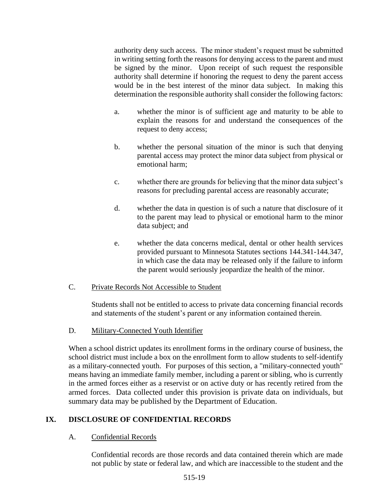authority deny such access. The minor student's request must be submitted in writing setting forth the reasons for denying access to the parent and must be signed by the minor. Upon receipt of such request the responsible authority shall determine if honoring the request to deny the parent access would be in the best interest of the minor data subject. In making this determination the responsible authority shall consider the following factors:

- a. whether the minor is of sufficient age and maturity to be able to explain the reasons for and understand the consequences of the request to deny access;
- b. whether the personal situation of the minor is such that denying parental access may protect the minor data subject from physical or emotional harm;
- c. whether there are grounds for believing that the minor data subject's reasons for precluding parental access are reasonably accurate;
- d. whether the data in question is of such a nature that disclosure of it to the parent may lead to physical or emotional harm to the minor data subject; and
- e. whether the data concerns medical, dental or other health services provided pursuant to Minnesota Statutes sections 144.341-144.347, in which case the data may be released only if the failure to inform the parent would seriously jeopardize the health of the minor.

# C. Private Records Not Accessible to Student

Students shall not be entitled to access to private data concerning financial records and statements of the student's parent or any information contained therein.

D. Military-Connected Youth Identifier

When a school district updates its enrollment forms in the ordinary course of business, the school district must include a box on the enrollment form to allow students to self-identify as a military-connected youth. For purposes of this section, a "military-connected youth" means having an immediate family member, including a parent or sibling, who is currently in the armed forces either as a reservist or on active duty or has recently retired from the armed forces. Data collected under this provision is private data on individuals, but summary data may be published by the Department of Education.

# **IX. DISCLOSURE OF CONFIDENTIAL RECORDS**

# A. Confidential Records

Confidential records are those records and data contained therein which are made not public by state or federal law, and which are inaccessible to the student and the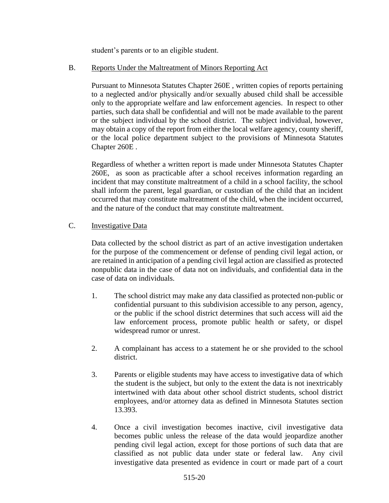student's parents or to an eligible student.

## B. Reports Under the Maltreatment of Minors Reporting Act

Pursuant to Minnesota Statutes Chapter 260E , written copies of reports pertaining to a neglected and/or physically and/or sexually abused child shall be accessible only to the appropriate welfare and law enforcement agencies. In respect to other parties, such data shall be confidential and will not be made available to the parent or the subject individual by the school district. The subject individual, however, may obtain a copy of the report from either the local welfare agency, county sheriff, or the local police department subject to the provisions of Minnesota Statutes Chapter 260E .

Regardless of whether a written report is made under Minnesota Statutes Chapter 260E, as soon as practicable after a school receives information regarding an incident that may constitute maltreatment of a child in a school facility, the school shall inform the parent, legal guardian, or custodian of the child that an incident occurred that may constitute maltreatment of the child, when the incident occurred, and the nature of the conduct that may constitute maltreatment.

# C. Investigative Data

Data collected by the school district as part of an active investigation undertaken for the purpose of the commencement or defense of pending civil legal action, or are retained in anticipation of a pending civil legal action are classified as protected nonpublic data in the case of data not on individuals, and confidential data in the case of data on individuals.

- 1. The school district may make any data classified as protected non-public or confidential pursuant to this subdivision accessible to any person, agency, or the public if the school district determines that such access will aid the law enforcement process, promote public health or safety, or dispel widespread rumor or unrest.
- 2. A complainant has access to a statement he or she provided to the school district.
- 3. Parents or eligible students may have access to investigative data of which the student is the subject, but only to the extent the data is not inextricably intertwined with data about other school district students, school district employees, and/or attorney data as defined in Minnesota Statutes section 13.393.
- 4. Once a civil investigation becomes inactive, civil investigative data becomes public unless the release of the data would jeopardize another pending civil legal action, except for those portions of such data that are classified as not public data under state or federal law. Any civil investigative data presented as evidence in court or made part of a court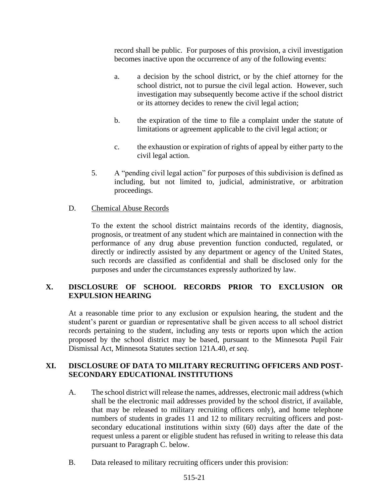record shall be public. For purposes of this provision, a civil investigation becomes inactive upon the occurrence of any of the following events:

- a. a decision by the school district, or by the chief attorney for the school district, not to pursue the civil legal action. However, such investigation may subsequently become active if the school district or its attorney decides to renew the civil legal action;
- b. the expiration of the time to file a complaint under the statute of limitations or agreement applicable to the civil legal action; or
- c. the exhaustion or expiration of rights of appeal by either party to the civil legal action.
- 5. A "pending civil legal action" for purposes of this subdivision is defined as including, but not limited to, judicial, administrative, or arbitration proceedings.

## D. Chemical Abuse Records

To the extent the school district maintains records of the identity, diagnosis, prognosis, or treatment of any student which are maintained in connection with the performance of any drug abuse prevention function conducted, regulated, or directly or indirectly assisted by any department or agency of the United States, such records are classified as confidential and shall be disclosed only for the purposes and under the circumstances expressly authorized by law.

# **X. DISCLOSURE OF SCHOOL RECORDS PRIOR TO EXCLUSION OR EXPULSION HEARING**

At a reasonable time prior to any exclusion or expulsion hearing, the student and the student's parent or guardian or representative shall be given access to all school district records pertaining to the student, including any tests or reports upon which the action proposed by the school district may be based, pursuant to the Minnesota Pupil Fair Dismissal Act, Minnesota Statutes section 121A.40, *et seq*.

# **XI. DISCLOSURE OF DATA TO MILITARY RECRUITING OFFICERS AND POST-SECONDARY EDUCATIONAL INSTITUTIONS**

- A. The school district will release the names, addresses, electronic mail address (which shall be the electronic mail addresses provided by the school district, if available, that may be released to military recruiting officers only), and home telephone numbers of students in grades 11 and 12 to military recruiting officers and postsecondary educational institutions within sixty (60) days after the date of the request unless a parent or eligible student has refused in writing to release this data pursuant to Paragraph C. below.
- B. Data released to military recruiting officers under this provision: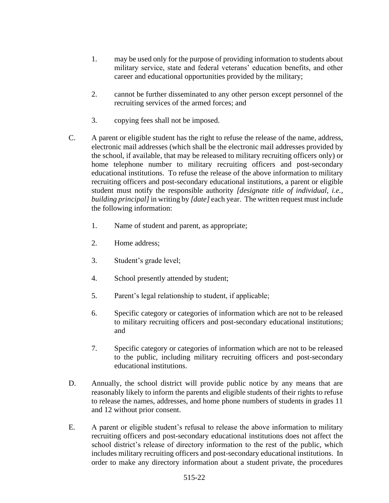- 1. may be used only for the purpose of providing information to students about military service, state and federal veterans' education benefits, and other career and educational opportunities provided by the military;
- 2. cannot be further disseminated to any other person except personnel of the recruiting services of the armed forces; and
- 3. copying fees shall not be imposed.
- C. A parent or eligible student has the right to refuse the release of the name, address, electronic mail addresses (which shall be the electronic mail addresses provided by the school, if available, that may be released to military recruiting officers only) or home telephone number to military recruiting officers and post-secondary educational institutions. To refuse the release of the above information to military recruiting officers and post-secondary educational institutions, a parent or eligible student must notify the responsible authority *[designate title of individual, i.e., building principal]* in writing by *[date]* each year. The written request must include the following information:
	- 1. Name of student and parent, as appropriate;
	- 2. Home address;
	- 3. Student's grade level;
	- 4. School presently attended by student;
	- 5. Parent's legal relationship to student, if applicable;
	- 6. Specific category or categories of information which are not to be released to military recruiting officers and post-secondary educational institutions; and
	- 7. Specific category or categories of information which are not to be released to the public, including military recruiting officers and post-secondary educational institutions.
- D. Annually, the school district will provide public notice by any means that are reasonably likely to inform the parents and eligible students of their rights to refuse to release the names, addresses, and home phone numbers of students in grades 11 and 12 without prior consent.
- E. A parent or eligible student's refusal to release the above information to military recruiting officers and post-secondary educational institutions does not affect the school district's release of directory information to the rest of the public, which includes military recruiting officers and post-secondary educational institutions. In order to make any directory information about a student private, the procedures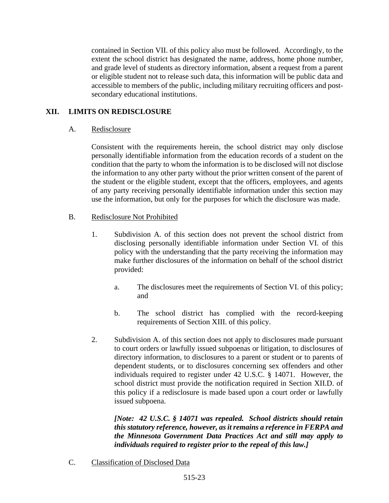contained in Section VII. of this policy also must be followed. Accordingly, to the extent the school district has designated the name, address, home phone number, and grade level of students as directory information, absent a request from a parent or eligible student not to release such data, this information will be public data and accessible to members of the public, including military recruiting officers and postsecondary educational institutions.

# **XII. LIMITS ON REDISCLOSURE**

## A. Redisclosure

Consistent with the requirements herein, the school district may only disclose personally identifiable information from the education records of a student on the condition that the party to whom the information is to be disclosed will not disclose the information to any other party without the prior written consent of the parent of the student or the eligible student, except that the officers, employees, and agents of any party receiving personally identifiable information under this section may use the information, but only for the purposes for which the disclosure was made.

## B. Redisclosure Not Prohibited

- 1. Subdivision A. of this section does not prevent the school district from disclosing personally identifiable information under Section VI. of this policy with the understanding that the party receiving the information may make further disclosures of the information on behalf of the school district provided:
	- a. The disclosures meet the requirements of Section VI. of this policy; and
	- b. The school district has complied with the record-keeping requirements of Section XIII. of this policy.
- 2. Subdivision A. of this section does not apply to disclosures made pursuant to court orders or lawfully issued subpoenas or litigation, to disclosures of directory information, to disclosures to a parent or student or to parents of dependent students, or to disclosures concerning sex offenders and other individuals required to register under 42 U.S.C. § 14071. However, the school district must provide the notification required in Section XII.D. of this policy if a redisclosure is made based upon a court order or lawfully issued subpoena.

*[Note: 42 U.S.C. § 14071 was repealed. School districts should retain this statutory reference, however, as it remains a reference in FERPA and the Minnesota Government Data Practices Act and still may apply to individuals required to register prior to the repeal of this law.]*

C. Classification of Disclosed Data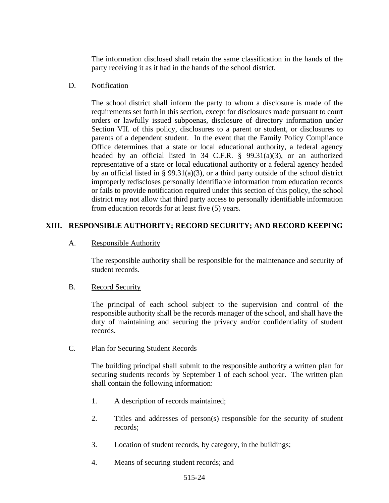The information disclosed shall retain the same classification in the hands of the party receiving it as it had in the hands of the school district.

## D. Notification

The school district shall inform the party to whom a disclosure is made of the requirements set forth in this section, except for disclosures made pursuant to court orders or lawfully issued subpoenas, disclosure of directory information under Section VII. of this policy, disclosures to a parent or student, or disclosures to parents of a dependent student. In the event that the Family Policy Compliance Office determines that a state or local educational authority, a federal agency headed by an official listed in 34 C.F.R. § 99.31(a)(3), or an authorized representative of a state or local educational authority or a federal agency headed by an official listed in § 99.31(a)(3), or a third party outside of the school district improperly rediscloses personally identifiable information from education records or fails to provide notification required under this section of this policy, the school district may not allow that third party access to personally identifiable information from education records for at least five (5) years.

# **XIII. RESPONSIBLE AUTHORITY; RECORD SECURITY; AND RECORD KEEPING**

## A. Responsible Authority

The responsible authority shall be responsible for the maintenance and security of student records.

### B. Record Security

The principal of each school subject to the supervision and control of the responsible authority shall be the records manager of the school, and shall have the duty of maintaining and securing the privacy and/or confidentiality of student records.

### C. Plan for Securing Student Records

The building principal shall submit to the responsible authority a written plan for securing students records by September 1 of each school year. The written plan shall contain the following information:

- 1. A description of records maintained;
- 2. Titles and addresses of person(s) responsible for the security of student records;
- 3. Location of student records, by category, in the buildings;
- 4. Means of securing student records; and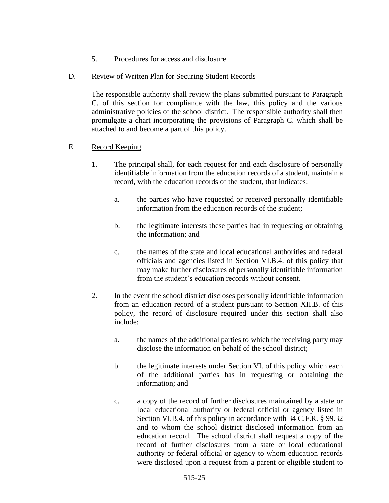- 5. Procedures for access and disclosure.
- D. Review of Written Plan for Securing Student Records

The responsible authority shall review the plans submitted pursuant to Paragraph C. of this section for compliance with the law, this policy and the various administrative policies of the school district. The responsible authority shall then promulgate a chart incorporating the provisions of Paragraph C. which shall be attached to and become a part of this policy.

- E. Record Keeping
	- 1. The principal shall, for each request for and each disclosure of personally identifiable information from the education records of a student, maintain a record, with the education records of the student, that indicates:
		- a. the parties who have requested or received personally identifiable information from the education records of the student;
		- b. the legitimate interests these parties had in requesting or obtaining the information; and
		- c. the names of the state and local educational authorities and federal officials and agencies listed in Section VI.B.4. of this policy that may make further disclosures of personally identifiable information from the student's education records without consent.
	- 2. In the event the school district discloses personally identifiable information from an education record of a student pursuant to Section XII.B. of this policy, the record of disclosure required under this section shall also include:
		- a. the names of the additional parties to which the receiving party may disclose the information on behalf of the school district;
		- b. the legitimate interests under Section VI. of this policy which each of the additional parties has in requesting or obtaining the information; and
		- c. a copy of the record of further disclosures maintained by a state or local educational authority or federal official or agency listed in Section VI.B.4. of this policy in accordance with 34 C.F.R. § 99.32 and to whom the school district disclosed information from an education record. The school district shall request a copy of the record of further disclosures from a state or local educational authority or federal official or agency to whom education records were disclosed upon a request from a parent or eligible student to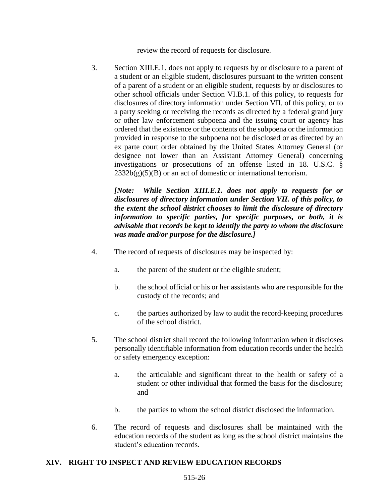review the record of requests for disclosure.

3. Section XIII.E.1. does not apply to requests by or disclosure to a parent of a student or an eligible student, disclosures pursuant to the written consent of a parent of a student or an eligible student, requests by or disclosures to other school officials under Section VI.B.1. of this policy, to requests for disclosures of directory information under Section VII. of this policy, or to a party seeking or receiving the records as directed by a federal grand jury or other law enforcement subpoena and the issuing court or agency has ordered that the existence or the contents of the subpoena or the information provided in response to the subpoena not be disclosed or as directed by an ex parte court order obtained by the United States Attorney General (or designee not lower than an Assistant Attorney General) concerning investigations or prosecutions of an offense listed in 18. U.S.C. §  $2332b(g)(5)(B)$  or an act of domestic or international terrorism.

*[Note: While Section XIII.E.1. does not apply to requests for or disclosures of directory information under Section VII. of this policy, to the extent the school district chooses to limit the disclosure of directory information to specific parties, for specific purposes, or both, it is advisable that records be kept to identify the party to whom the disclosure was made and/or purpose for the disclosure.]*

- 4. The record of requests of disclosures may be inspected by:
	- a. the parent of the student or the eligible student;
	- b. the school official or his or her assistants who are responsible for the custody of the records; and
	- c. the parties authorized by law to audit the record-keeping procedures of the school district.
- 5. The school district shall record the following information when it discloses personally identifiable information from education records under the health or safety emergency exception:
	- a. the articulable and significant threat to the health or safety of a student or other individual that formed the basis for the disclosure; and
	- b. the parties to whom the school district disclosed the information.
- 6. The record of requests and disclosures shall be maintained with the education records of the student as long as the school district maintains the student's education records.

# **XIV. RIGHT TO INSPECT AND REVIEW EDUCATION RECORDS**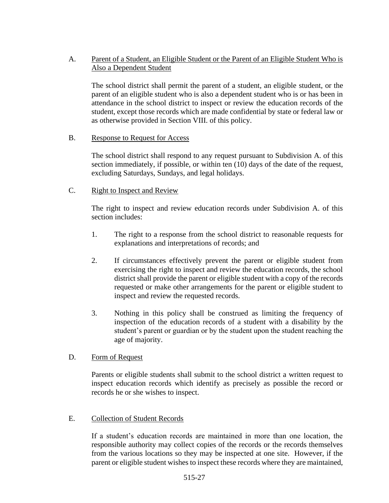# A. Parent of a Student, an Eligible Student or the Parent of an Eligible Student Who is Also a Dependent Student

The school district shall permit the parent of a student, an eligible student, or the parent of an eligible student who is also a dependent student who is or has been in attendance in the school district to inspect or review the education records of the student, except those records which are made confidential by state or federal law or as otherwise provided in Section VIII. of this policy.

### B. Response to Request for Access

The school district shall respond to any request pursuant to Subdivision A. of this section immediately, if possible, or within ten (10) days of the date of the request, excluding Saturdays, Sundays, and legal holidays.

## C. Right to Inspect and Review

The right to inspect and review education records under Subdivision A. of this section includes:

- 1. The right to a response from the school district to reasonable requests for explanations and interpretations of records; and
- 2. If circumstances effectively prevent the parent or eligible student from exercising the right to inspect and review the education records, the school district shall provide the parent or eligible student with a copy of the records requested or make other arrangements for the parent or eligible student to inspect and review the requested records.
- 3. Nothing in this policy shall be construed as limiting the frequency of inspection of the education records of a student with a disability by the student's parent or guardian or by the student upon the student reaching the age of majority.

### D. Form of Request

Parents or eligible students shall submit to the school district a written request to inspect education records which identify as precisely as possible the record or records he or she wishes to inspect.

# E. Collection of Student Records

If a student's education records are maintained in more than one location, the responsible authority may collect copies of the records or the records themselves from the various locations so they may be inspected at one site. However, if the parent or eligible student wishes to inspect these records where they are maintained,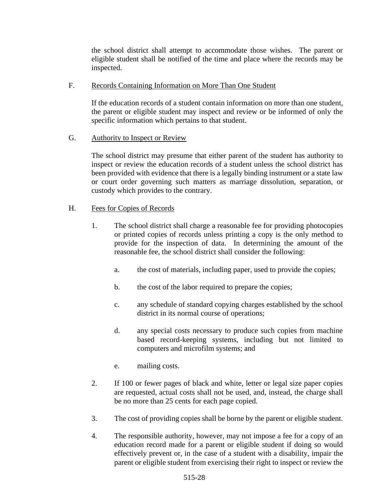the school district shall attempt to accommodate those wishes. The parent or eligible student shall be notified of the time and place where the records may be inspected.

### F. Records Containing Information on More Than One Student

If the education records of a student contain information on more than one student, the parent or eligible student may inspect and review or be informed of only the specific information which pertains to that student.

## G. Authority to Inspect or Review

The school district may presume that either parent of the student has authority to inspect or review the education records of a student unless the school district has been provided with evidence that there is a legally binding instrument or a state law or court order governing such matters as marriage dissolution, separation, or custody which provides to the contrary.

## H. Fees for Copies of Records

- 1. The school district shall charge a reasonable fee for providing photocopies or printed copies of records unless printing a copy is the only method to provide for the inspection of data. In determining the amount of the reasonable fee, the school district shall consider the following:
	- a. the cost of materials, including paper, used to provide the copies;
	- b. the cost of the labor required to prepare the copies;
	- c. any schedule of standard copying charges established by the school district in its normal course of operations;
	- d. any special costs necessary to produce such copies from machine based record-keeping systems, including but not limited to computers and microfilm systems; and
	- e. mailing costs.
- 2. If 100 or fewer pages of black and white, letter or legal size paper copies are requested, actual costs shall not be used, and, instead, the charge shall be no more than 25 cents for each page copied.
- 3. The cost of providing copies shall be borne by the parent or eligible student.
- 4. The responsible authority, however, may not impose a fee for a copy of an education record made for a parent or eligible student if doing so would effectively prevent or, in the case of a student with a disability, impair the parent or eligible student from exercising their right to inspect or review the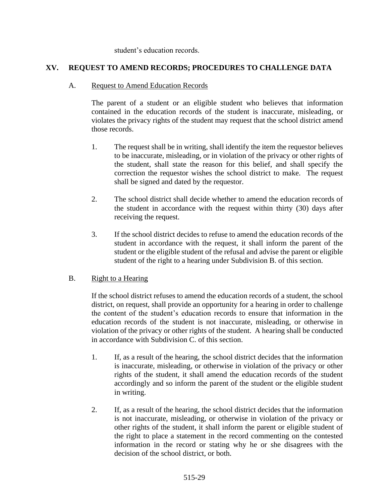student's education records.

# **XV. REQUEST TO AMEND RECORDS; PROCEDURES TO CHALLENGE DATA**

## A. Request to Amend Education Records

The parent of a student or an eligible student who believes that information contained in the education records of the student is inaccurate, misleading, or violates the privacy rights of the student may request that the school district amend those records.

- 1. The request shall be in writing, shall identify the item the requestor believes to be inaccurate, misleading, or in violation of the privacy or other rights of the student, shall state the reason for this belief, and shall specify the correction the requestor wishes the school district to make. The request shall be signed and dated by the requestor.
- 2. The school district shall decide whether to amend the education records of the student in accordance with the request within thirty (30) days after receiving the request.
- 3. If the school district decides to refuse to amend the education records of the student in accordance with the request, it shall inform the parent of the student or the eligible student of the refusal and advise the parent or eligible student of the right to a hearing under Subdivision B. of this section.

# B. Right to a Hearing

If the school district refuses to amend the education records of a student, the school district, on request, shall provide an opportunity for a hearing in order to challenge the content of the student's education records to ensure that information in the education records of the student is not inaccurate, misleading, or otherwise in violation of the privacy or other rights of the student. A hearing shall be conducted in accordance with Subdivision C. of this section.

- 1. If, as a result of the hearing, the school district decides that the information is inaccurate, misleading, or otherwise in violation of the privacy or other rights of the student, it shall amend the education records of the student accordingly and so inform the parent of the student or the eligible student in writing.
- 2. If, as a result of the hearing, the school district decides that the information is not inaccurate, misleading, or otherwise in violation of the privacy or other rights of the student, it shall inform the parent or eligible student of the right to place a statement in the record commenting on the contested information in the record or stating why he or she disagrees with the decision of the school district, or both.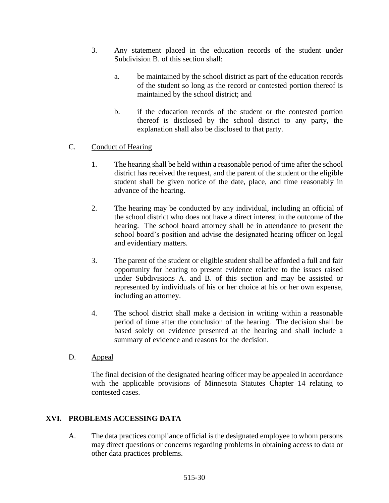- 3. Any statement placed in the education records of the student under Subdivision B. of this section shall:
	- a. be maintained by the school district as part of the education records of the student so long as the record or contested portion thereof is maintained by the school district; and
	- b. if the education records of the student or the contested portion thereof is disclosed by the school district to any party, the explanation shall also be disclosed to that party.

# C. Conduct of Hearing

- 1. The hearing shall be held within a reasonable period of time after the school district has received the request, and the parent of the student or the eligible student shall be given notice of the date, place, and time reasonably in advance of the hearing.
- 2. The hearing may be conducted by any individual, including an official of the school district who does not have a direct interest in the outcome of the hearing. The school board attorney shall be in attendance to present the school board's position and advise the designated hearing officer on legal and evidentiary matters.
- 3. The parent of the student or eligible student shall be afforded a full and fair opportunity for hearing to present evidence relative to the issues raised under Subdivisions A. and B. of this section and may be assisted or represented by individuals of his or her choice at his or her own expense, including an attorney.
- 4. The school district shall make a decision in writing within a reasonable period of time after the conclusion of the hearing. The decision shall be based solely on evidence presented at the hearing and shall include a summary of evidence and reasons for the decision.
- D. Appeal

The final decision of the designated hearing officer may be appealed in accordance with the applicable provisions of Minnesota Statutes Chapter 14 relating to contested cases.

# **XVI. PROBLEMS ACCESSING DATA**

A. The data practices compliance official is the designated employee to whom persons may direct questions or concerns regarding problems in obtaining access to data or other data practices problems.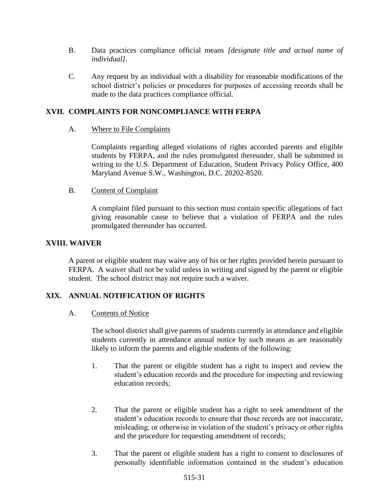- B. Data practices compliance official means *[designate title and actual name of individual]*.
- C. Any request by an individual with a disability for reasonable modifications of the school district's policies or procedures for purposes of accessing records shall be made to the data practices compliance official.

# **XVII. COMPLAINTS FOR NONCOMPLIANCE WITH FERPA**

# A. Where to File Complaints

Complaints regarding alleged violations of rights accorded parents and eligible students by FERPA, and the rules promulgated thereunder, shall be submitted in writing to the U.S. Department of Education, Student Privacy Policy Office, 400 Maryland Avenue S.W., Washington, D.C. 20202-8520.

## B. Content of Complaint

A complaint filed pursuant to this section must contain specific allegations of fact giving reasonable cause to believe that a violation of FERPA and the rules promulgated thereunder has occurred.

# **XVIII. WAIVER**

A parent or eligible student may waive any of his or her rights provided herein pursuant to FERPA. A waiver shall not be valid unless in writing and signed by the parent or eligible student. The school district may not require such a waiver.

# **XIX. ANNUAL NOTIFICATION OF RIGHTS**

### A. Contents of Notice

The school district shall give parents of students currently in attendance and eligible students currently in attendance annual notice by such means as are reasonably likely to inform the parents and eligible students of the following:

- 1. That the parent or eligible student has a right to inspect and review the student's education records and the procedure for inspecting and reviewing education records;
- 2. That the parent or eligible student has a right to seek amendment of the student's education records to ensure that those records are not inaccurate, misleading, or otherwise in violation of the student's privacy or other rights and the procedure for requesting amendment of records;
- 3. That the parent or eligible student has a right to consent to disclosures of personally identifiable information contained in the student's education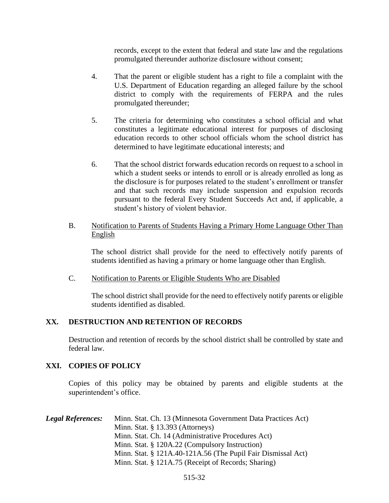records, except to the extent that federal and state law and the regulations promulgated thereunder authorize disclosure without consent;

- 4. That the parent or eligible student has a right to file a complaint with the U.S. Department of Education regarding an alleged failure by the school district to comply with the requirements of FERPA and the rules promulgated thereunder;
- 5. The criteria for determining who constitutes a school official and what constitutes a legitimate educational interest for purposes of disclosing education records to other school officials whom the school district has determined to have legitimate educational interests; and
- 6. That the school district forwards education records on request to a school in which a student seeks or intends to enroll or is already enrolled as long as the disclosure is for purposes related to the student's enrollment or transfer and that such records may include suspension and expulsion records pursuant to the federal Every Student Succeeds Act and, if applicable, a student's history of violent behavior.
- B. Notification to Parents of Students Having a Primary Home Language Other Than English

The school district shall provide for the need to effectively notify parents of students identified as having a primary or home language other than English.

C. Notification to Parents or Eligible Students Who are Disabled

The school district shall provide for the need to effectively notify parents or eligible students identified as disabled.

### **XX. DESTRUCTION AND RETENTION OF RECORDS**

Destruction and retention of records by the school district shall be controlled by state and federal law.

### **XXI. COPIES OF POLICY**

Copies of this policy may be obtained by parents and eligible students at the superintendent's office.

| <b>Legal References:</b> | Minn. Stat. Ch. 13 (Minnesota Government Data Practices Act) |
|--------------------------|--------------------------------------------------------------|
|                          | Minn. Stat. $\S$ 13.393 (Attorneys)                          |
|                          | Minn. Stat. Ch. 14 (Administrative Procedures Act)           |
|                          | Minn. Stat. § 120A.22 (Compulsory Instruction)               |
|                          | Minn. Stat. § 121A.40-121A.56 (The Pupil Fair Dismissal Act) |
|                          | Minn. Stat. § 121A.75 (Receipt of Records; Sharing)          |